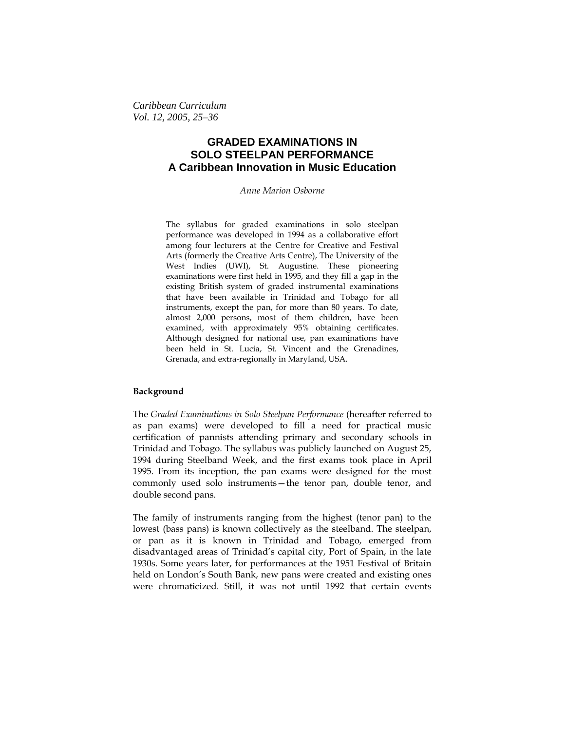*Caribbean Curriculum Vol. 12, 2005, 25–36*

# **GRADED EXAMINATIONS IN SOLO STEELPAN PERFORMANCE A Caribbean Innovation in Music Education**

*Anne Marion Osborne*

The syllabus for graded examinations in solo steelpan performance was developed in 1994 as a collaborative effort among four lecturers at the Centre for Creative and Festival Arts (formerly the Creative Arts Centre), The University of the West Indies (UWI), St. Augustine. These pioneering examinations were first held in 1995, and they fill a gap in the existing British system of graded instrumental examinations that have been available in Trinidad and Tobago for all instruments, except the pan, for more than 80 years. To date, almost 2,000 persons, most of them children, have been examined, with approximately 95% obtaining certificates. Although designed for national use, pan examinations have been held in St. Lucia, St. Vincent and the Grenadines, Grenada, and extra-regionally in Maryland, USA.

### **Background**

The *Graded Examinations in Solo Steelpan Performance* (hereafter referred to as pan exams) were developed to fill a need for practical music certification of pannists attending primary and secondary schools in Trinidad and Tobago. The syllabus was publicly launched on August 25, 1994 during Steelband Week, and the first exams took place in April 1995. From its inception, the pan exams were designed for the most commonly used solo instruments—the tenor pan, double tenor, and double second pans.

The family of instruments ranging from the highest (tenor pan) to the lowest (bass pans) is known collectively as the steelband. The steelpan, or pan as it is known in Trinidad and Tobago, emerged from disadvantaged areas of Trinidad's capital city, Port of Spain, in the late 1930s. Some years later, for performances at the 1951 Festival of Britain held on London's South Bank, new pans were created and existing ones were chromaticized. Still, it was not until 1992 that certain events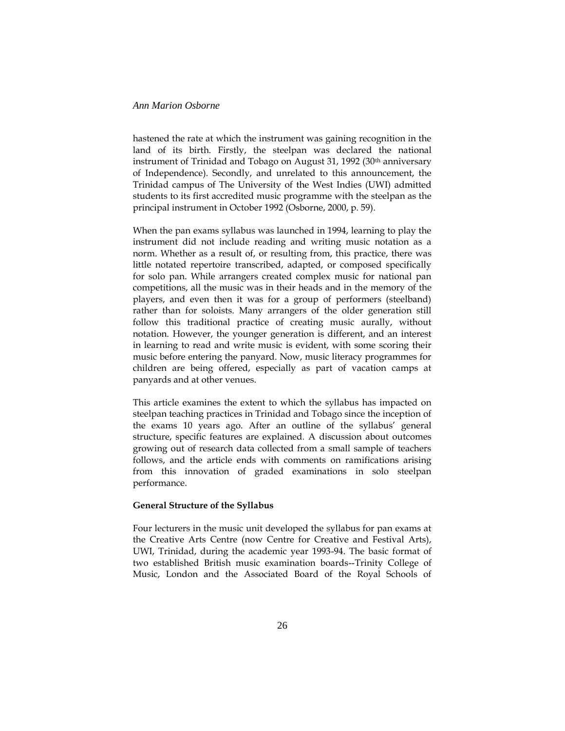hastened the rate at which the instrument was gaining recognition in the land of its birth. Firstly, the steelpan was declared the national instrument of Trinidad and Tobago on August 31, 1992 (30<sup>th</sup> anniversary of Independence). Secondly, and unrelated to this announcement, the Trinidad campus of The University of the West Indies (UWI) admitted students to its first accredited music programme with the steelpan as the principal instrument in October 1992 (Osborne, 2000, p. 59).

When the pan exams syllabus was launched in 1994, learning to play the instrument did not include reading and writing music notation as a norm. Whether as a result of, or resulting from, this practice, there was little notated repertoire transcribed, adapted, or composed specifically for solo pan. While arrangers created complex music for national pan competitions, all the music was in their heads and in the memory of the players, and even then it was for a group of performers (steelband) rather than for soloists. Many arrangers of the older generation still follow this traditional practice of creating music aurally, without notation. However, the younger generation is different, and an interest in learning to read and write music is evident, with some scoring their music before entering the panyard. Now, music literacy programmes for children are being offered, especially as part of vacation camps at panyards and at other venues.

This article examines the extent to which the syllabus has impacted on steelpan teaching practices in Trinidad and Tobago since the inception of the exams 10 years ago. After an outline of the syllabus' general structure, specific features are explained. A discussion about outcomes growing out of research data collected from a small sample of teachers follows, and the article ends with comments on ramifications arising from this innovation of graded examinations in solo steelpan performance.

#### **General Structure of the Syllabus**

Four lecturers in the music unit developed the syllabus for pan exams at the Creative Arts Centre (now Centre for Creative and Festival Arts), UWI, Trinidad, during the academic year 1993-94. The basic format of two established British music examination boards--Trinity College of Music, London and the Associated Board of the Royal Schools of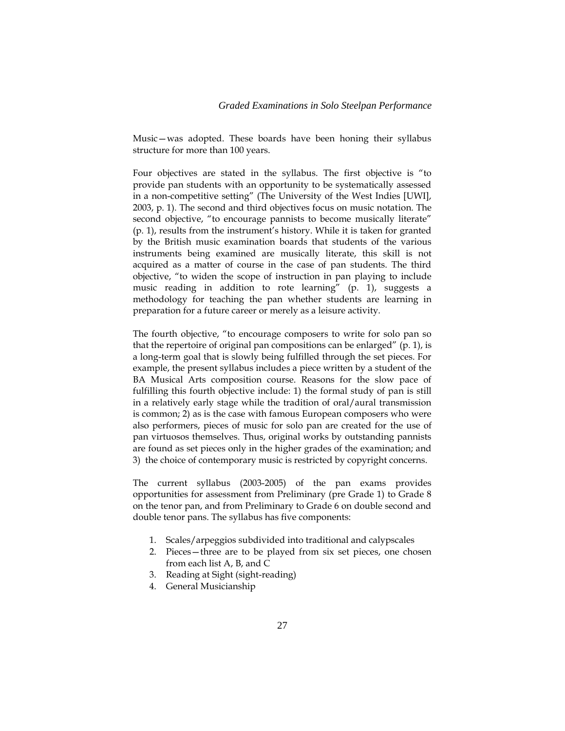Music—was adopted. These boards have been honing their syllabus structure for more than 100 years.

Four objectives are stated in the syllabus. The first objective is "to provide pan students with an opportunity to be systematically assessed in a non-competitive setting" (The University of the West Indies [UWI], 2003, p. 1). The second and third objectives focus on music notation. The second objective, "to encourage pannists to become musically literate" (p. 1), results from the instrument's history. While it is taken for granted by the British music examination boards that students of the various instruments being examined are musically literate, this skill is not acquired as a matter of course in the case of pan students. The third objective, "to widen the scope of instruction in pan playing to include music reading in addition to rote learning" (p. 1), suggests a methodology for teaching the pan whether students are learning in preparation for a future career or merely as a leisure activity.

The fourth objective, "to encourage composers to write for solo pan so that the repertoire of original pan compositions can be enlarged" (p. 1), is a long-term goal that is slowly being fulfilled through the set pieces. For example, the present syllabus includes a piece written by a student of the BA Musical Arts composition course. Reasons for the slow pace of fulfilling this fourth objective include: 1) the formal study of pan is still in a relatively early stage while the tradition of oral/aural transmission is common; 2) as is the case with famous European composers who were also performers, pieces of music for solo pan are created for the use of pan virtuosos themselves. Thus, original works by outstanding pannists are found as set pieces only in the higher grades of the examination; and 3) the choice of contemporary music is restricted by copyright concerns.

The current syllabus (2003-2005) of the pan exams provides opportunities for assessment from Preliminary (pre Grade 1) to Grade 8 on the tenor pan, and from Preliminary to Grade 6 on double second and double tenor pans. The syllabus has five components:

- 1. Scales/arpeggios subdivided into traditional and calypscales
- 2. Pieces—three are to be played from six set pieces, one chosen from each list A, B, and C
- 3. Reading at Sight (sight-reading)
- 4. General Musicianship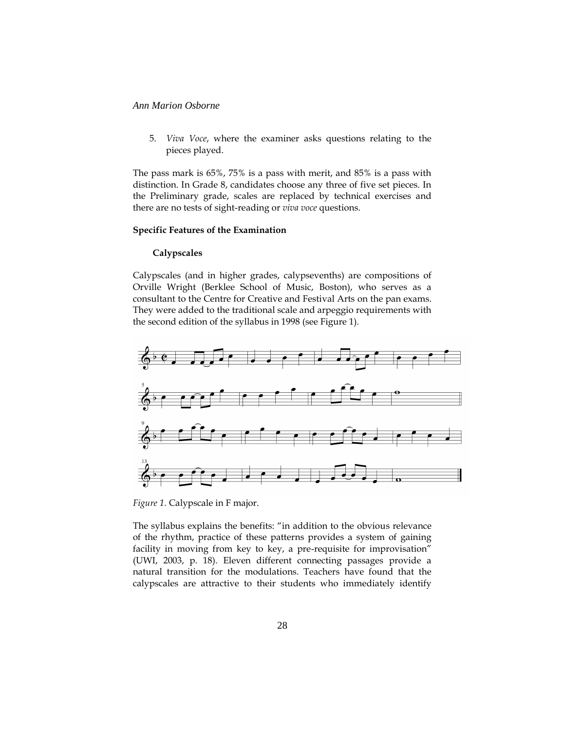5. *Viva Voce*, where the examiner asks questions relating to the pieces played.

The pass mark is 65%, 75% is a pass with merit, and 85% is a pass with distinction. In Grade 8, candidates choose any three of five set pieces. In the Preliminary grade, scales are replaced by technical exercises and there are no tests of sight-reading or *viva voce* questions.

### **Specific Features of the Examination**

# **Calypscales**

Calypscales (and in higher grades, calypsevenths) are compositions of Orville Wright (Berklee School of Music, Boston), who serves as a consultant to the Centre for Creative and Festival Arts on the pan exams. They were added to the traditional scale and arpeggio requirements with the second edition of the syllabus in 1998 (see Figure 1).



*Figure 1.* Calypscale in F major.

The syllabus explains the benefits: "in addition to the obvious relevance of the rhythm, practice of these patterns provides a system of gaining facility in moving from key to key, a pre-requisite for improvisation" (UWI, 2003, p. 18). Eleven different connecting passages provide a natural transition for the modulations. Teachers have found that the calypscales are attractive to their students who immediately identify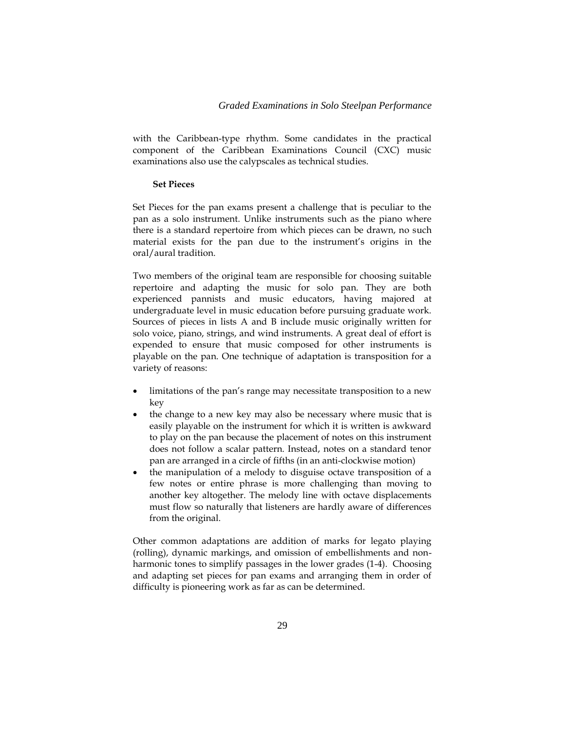with the Caribbean-type rhythm. Some candidates in the practical component of the Caribbean Examinations Council (CXC) music examinations also use the calypscales as technical studies.

#### **Set Pieces**

Set Pieces for the pan exams present a challenge that is peculiar to the pan as a solo instrument. Unlike instruments such as the piano where there is a standard repertoire from which pieces can be drawn, no such material exists for the pan due to the instrument's origins in the oral/aural tradition.

Two members of the original team are responsible for choosing suitable repertoire and adapting the music for solo pan. They are both experienced pannists and music educators, having majored at undergraduate level in music education before pursuing graduate work. Sources of pieces in lists A and B include music originally written for solo voice, piano, strings, and wind instruments. A great deal of effort is expended to ensure that music composed for other instruments is playable on the pan. One technique of adaptation is transposition for a variety of reasons:

- limitations of the pan's range may necessitate transposition to a new key
- the change to a new key may also be necessary where music that is easily playable on the instrument for which it is written is awkward to play on the pan because the placement of notes on this instrument does not follow a scalar pattern. Instead, notes on a standard tenor pan are arranged in a circle of fifths (in an anti-clockwise motion)
- the manipulation of a melody to disguise octave transposition of a few notes or entire phrase is more challenging than moving to another key altogether. The melody line with octave displacements must flow so naturally that listeners are hardly aware of differences from the original.

Other common adaptations are addition of marks for legato playing (rolling), dynamic markings, and omission of embellishments and nonharmonic tones to simplify passages in the lower grades (1-4). Choosing and adapting set pieces for pan exams and arranging them in order of difficulty is pioneering work as far as can be determined.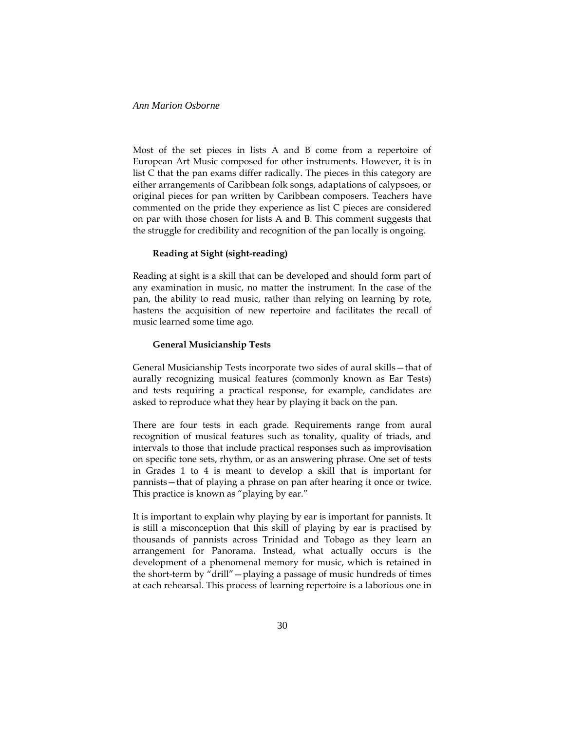Most of the set pieces in lists A and B come from a repertoire of European Art Music composed for other instruments. However, it is in list C that the pan exams differ radically. The pieces in this category are either arrangements of Caribbean folk songs, adaptations of calypsoes, or original pieces for pan written by Caribbean composers. Teachers have commented on the pride they experience as list C pieces are considered on par with those chosen for lists A and B. This comment suggests that the struggle for credibility and recognition of the pan locally is ongoing.

# **Reading at Sight (sight-reading)**

Reading at sight is a skill that can be developed and should form part of any examination in music, no matter the instrument. In the case of the pan, the ability to read music, rather than relying on learning by rote, hastens the acquisition of new repertoire and facilitates the recall of music learned some time ago.

### **General Musicianship Tests**

General Musicianship Tests incorporate two sides of aural skills—that of aurally recognizing musical features (commonly known as Ear Tests) and tests requiring a practical response, for example, candidates are asked to reproduce what they hear by playing it back on the pan.

There are four tests in each grade. Requirements range from aural recognition of musical features such as tonality, quality of triads, and intervals to those that include practical responses such as improvisation on specific tone sets, rhythm, or as an answering phrase. One set of tests in Grades 1 to 4 is meant to develop a skill that is important for pannists—that of playing a phrase on pan after hearing it once or twice. This practice is known as "playing by ear."

It is important to explain why playing by ear is important for pannists. It is still a misconception that this skill of playing by ear is practised by thousands of pannists across Trinidad and Tobago as they learn an arrangement for Panorama. Instead, what actually occurs is the development of a phenomenal memory for music, which is retained in the short-term by "drill"—playing a passage of music hundreds of times at each rehearsal. This process of learning repertoire is a laborious one in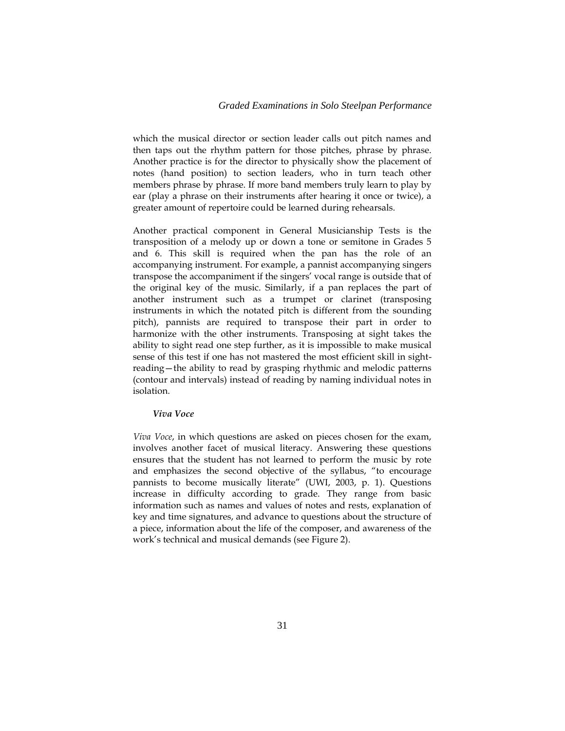### *Graded Examinations in Solo Steelpan Performance*

which the musical director or section leader calls out pitch names and then taps out the rhythm pattern for those pitches, phrase by phrase. Another practice is for the director to physically show the placement of notes (hand position) to section leaders, who in turn teach other members phrase by phrase. If more band members truly learn to play by ear (play a phrase on their instruments after hearing it once or twice), a greater amount of repertoire could be learned during rehearsals.

Another practical component in General Musicianship Tests is the transposition of a melody up or down a tone or semitone in Grades 5 and 6. This skill is required when the pan has the role of an accompanying instrument. For example, a pannist accompanying singers transpose the accompaniment if the singers' vocal range is outside that of the original key of the music. Similarly, if a pan replaces the part of another instrument such as a trumpet or clarinet (transposing instruments in which the notated pitch is different from the sounding pitch), pannists are required to transpose their part in order to harmonize with the other instruments. Transposing at sight takes the ability to sight read one step further, as it is impossible to make musical sense of this test if one has not mastered the most efficient skill in sightreading—the ability to read by grasping rhythmic and melodic patterns (contour and intervals) instead of reading by naming individual notes in isolation.

#### *Viva Voce*

*Viva Voce*, in which questions are asked on pieces chosen for the exam, involves another facet of musical literacy. Answering these questions ensures that the student has not learned to perform the music by rote and emphasizes the second objective of the syllabus, "to encourage pannists to become musically literate" (UWI, 2003, p. 1). Questions increase in difficulty according to grade. They range from basic information such as names and values of notes and rests, explanation of key and time signatures, and advance to questions about the structure of a piece, information about the life of the composer, and awareness of the work's technical and musical demands (see Figure 2).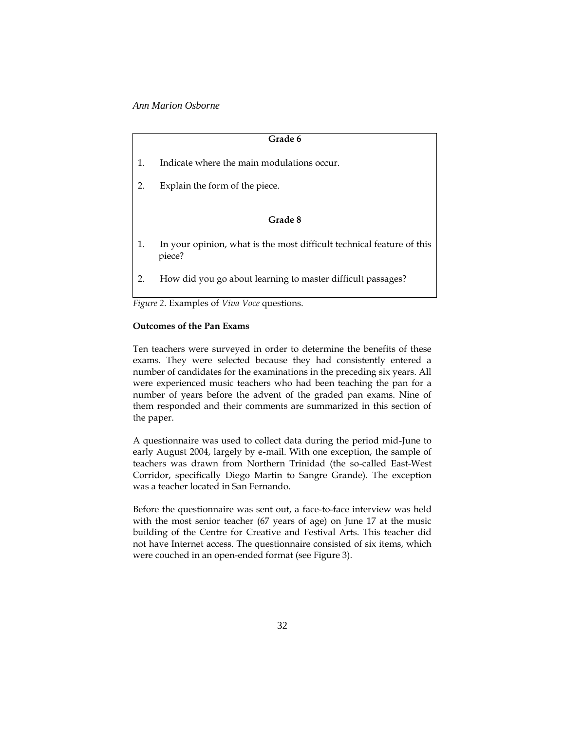| Grade 6 |                                                                                 |
|---------|---------------------------------------------------------------------------------|
| 1.      | Indicate where the main modulations occur.                                      |
| 2.      | Explain the form of the piece.                                                  |
|         | Grade 8                                                                         |
| 1.      | In your opinion, what is the most difficult technical feature of this<br>piece? |
| 2.      | How did you go about learning to master difficult passages?                     |

*Figure 2.* Examples of *Viva Voce* questions.

### **Outcomes of the Pan Exams**

Ten teachers were surveyed in order to determine the benefits of these exams. They were selected because they had consistently entered a number of candidates for the examinations in the preceding six years. All were experienced music teachers who had been teaching the pan for a number of years before the advent of the graded pan exams. Nine of them responded and their comments are summarized in this section of the paper.

A questionnaire was used to collect data during the period mid-June to early August 2004, largely by e-mail. With one exception, the sample of teachers was drawn from Northern Trinidad (the so-called East-West Corridor, specifically Diego Martin to Sangre Grande). The exception was a teacher located in San Fernando.

Before the questionnaire was sent out, a face-to-face interview was held with the most senior teacher (67 years of age) on June 17 at the music building of the Centre for Creative and Festival Arts. This teacher did not have Internet access. The questionnaire consisted of six items, which were couched in an open-ended format (see Figure 3).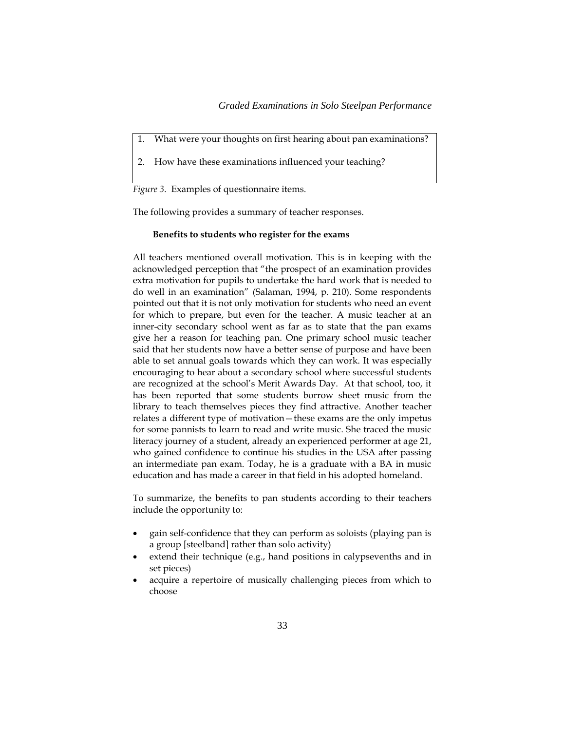- What were your thoughts on first hearing about pan examinations?
- 2. How have these examinations influenced your teaching?

*Figure 3.* Examples of questionnaire items.

The following provides a summary of teacher responses.

### **Benefits to students who register for the exams**

All teachers mentioned overall motivation. This is in keeping with the acknowledged perception that "the prospect of an examination provides extra motivation for pupils to undertake the hard work that is needed to do well in an examination" (Salaman, 1994, p. 210). Some respondents pointed out that it is not only motivation for students who need an event for which to prepare, but even for the teacher. A music teacher at an inner-city secondary school went as far as to state that the pan exams give her a reason for teaching pan. One primary school music teacher said that her students now have a better sense of purpose and have been able to set annual goals towards which they can work. It was especially encouraging to hear about a secondary school where successful students are recognized at the school's Merit Awards Day. At that school, too, it has been reported that some students borrow sheet music from the library to teach themselves pieces they find attractive. Another teacher relates a different type of motivation—these exams are the only impetus for some pannists to learn to read and write music. She traced the music literacy journey of a student, already an experienced performer at age 21, who gained confidence to continue his studies in the USA after passing an intermediate pan exam. Today, he is a graduate with a BA in music education and has made a career in that field in his adopted homeland.

To summarize, the benefits to pan students according to their teachers include the opportunity to:

- gain self-confidence that they can perform as soloists (playing pan is a group [steelband] rather than solo activity)
- extend their technique (e.g., hand positions in calypsevenths and in set pieces)
- acquire a repertoire of musically challenging pieces from which to choose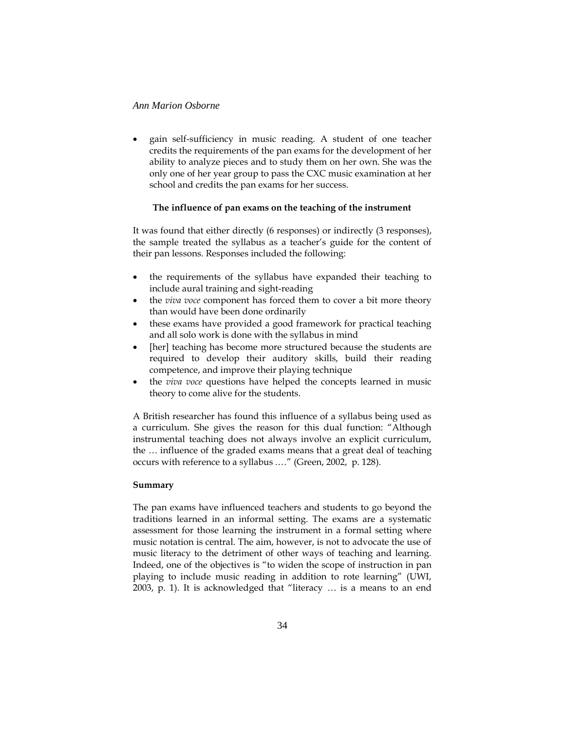gain self-sufficiency in music reading. A student of one teacher credits the requirements of the pan exams for the development of her ability to analyze pieces and to study them on her own. She was the only one of her year group to pass the CXC music examination at her school and credits the pan exams for her success.

### **The influence of pan exams on the teaching of the instrument**

It was found that either directly (6 responses) or indirectly (3 responses), the sample treated the syllabus as a teacher's guide for the content of their pan lessons. Responses included the following:

- the requirements of the syllabus have expanded their teaching to include aural training and sight-reading
- the *viva voce* component has forced them to cover a bit more theory than would have been done ordinarily
- these exams have provided a good framework for practical teaching and all solo work is done with the syllabus in mind
- [her] teaching has become more structured because the students are required to develop their auditory skills, build their reading competence, and improve their playing technique
- the *viva voce* questions have helped the concepts learned in music theory to come alive for the students.

A British researcher has found this influence of a syllabus being used as a curriculum. She gives the reason for this dual function: "Although instrumental teaching does not always involve an explicit curriculum, the … influence of the graded exams means that a great deal of teaching occurs with reference to a syllabus .…" (Green, 2002, p. 128).

# **Summary**

The pan exams have influenced teachers and students to go beyond the traditions learned in an informal setting. The exams are a systematic assessment for those learning the instrument in a formal setting where music notation is central. The aim, however, is not to advocate the use of music literacy to the detriment of other ways of teaching and learning. Indeed, one of the objectives is "to widen the scope of instruction in pan playing to include music reading in addition to rote learning" (UWI, 2003, p. 1). It is acknowledged that "literacy … is a means to an end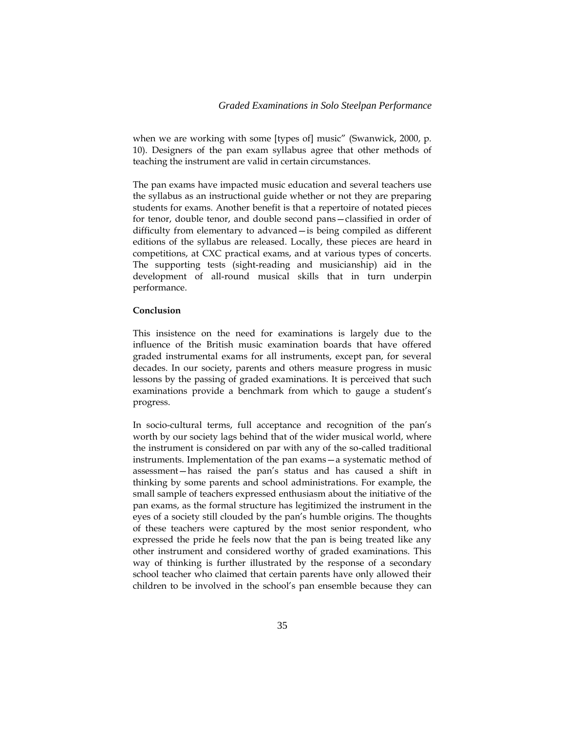when we are working with some [types of] music" (Swanwick, 2000, p. 10). Designers of the pan exam syllabus agree that other methods of teaching the instrument are valid in certain circumstances.

The pan exams have impacted music education and several teachers use the syllabus as an instructional guide whether or not they are preparing students for exams. Another benefit is that a repertoire of notated pieces for tenor, double tenor, and double second pans—classified in order of difficulty from elementary to advanced—is being compiled as different editions of the syllabus are released. Locally, these pieces are heard in competitions, at CXC practical exams, and at various types of concerts. The supporting tests (sight-reading and musicianship) aid in the development of all-round musical skills that in turn underpin performance.

#### **Conclusion**

This insistence on the need for examinations is largely due to the influence of the British music examination boards that have offered graded instrumental exams for all instruments, except pan, for several decades. In our society, parents and others measure progress in music lessons by the passing of graded examinations. It is perceived that such examinations provide a benchmark from which to gauge a student's progress.

In socio-cultural terms, full acceptance and recognition of the pan's worth by our society lags behind that of the wider musical world, where the instrument is considered on par with any of the so-called traditional instruments. Implementation of the pan exams—a systematic method of assessment—has raised the pan's status and has caused a shift in thinking by some parents and school administrations. For example, the small sample of teachers expressed enthusiasm about the initiative of the pan exams, as the formal structure has legitimized the instrument in the eyes of a society still clouded by the pan's humble origins. The thoughts of these teachers were captured by the most senior respondent, who expressed the pride he feels now that the pan is being treated like any other instrument and considered worthy of graded examinations. This way of thinking is further illustrated by the response of a secondary school teacher who claimed that certain parents have only allowed their children to be involved in the school's pan ensemble because they can